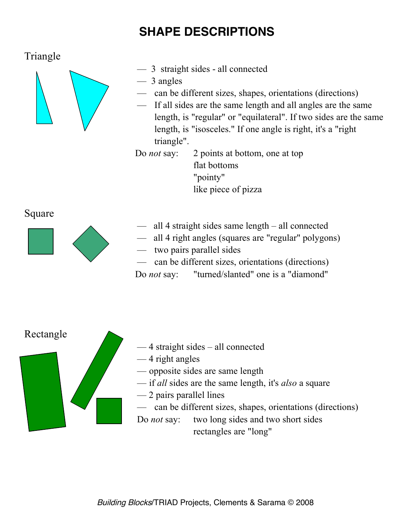## **SHAPE DESCRIPTIONS**